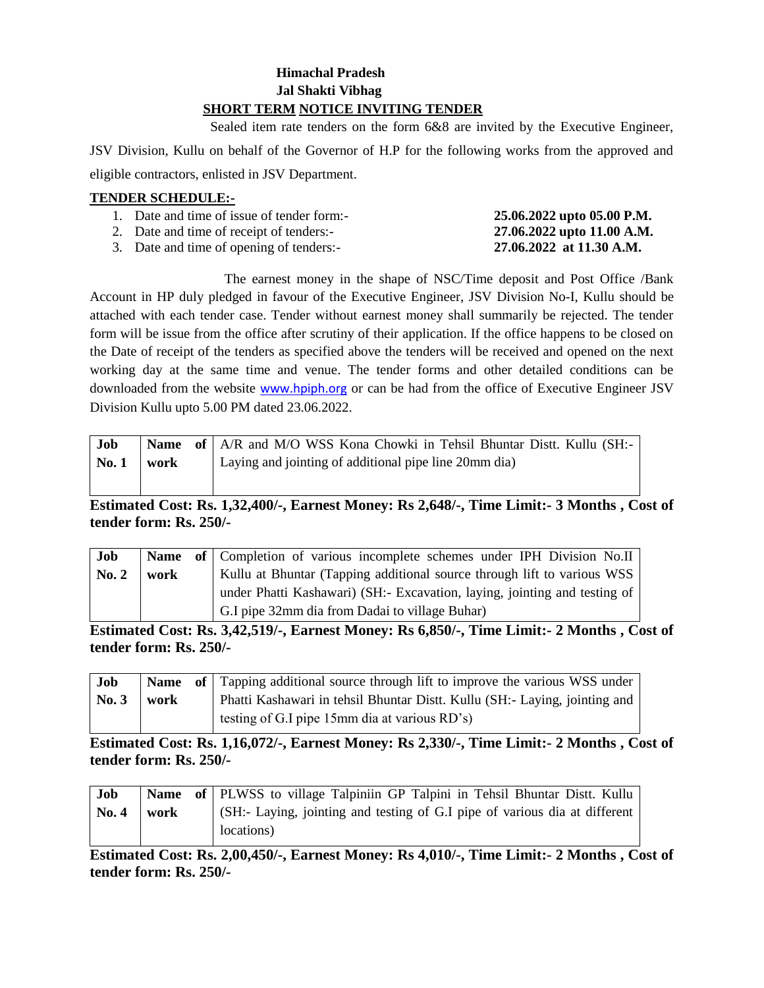### **Himachal Pradesh Jal Shakti Vibhag SHORT TERM NOTICE INVITING TENDER**

Sealed item rate tenders on the form 6&8 are invited by the Executive Engineer,

JSV Division, Kullu on behalf of the Governor of H.P for the following works from the approved and eligible contractors, enlisted in JSV Department.

#### **TENDER SCHEDULE:-**

| 1. Date and time of issue of tender form:- | 25.06.2022 upto 05.00 P.M. |
|--------------------------------------------|----------------------------|
| 2. Date and time of receipt of tenders:-   | 27.06.2022 upto 11.00 A.M. |
| 3. Date and time of opening of tenders:-   | 27.06.2022 at 11.30 A.M.   |

The earnest money in the shape of NSC/Time deposit and Post Office /Bank Account in HP duly pledged in favour of the Executive Engineer, JSV Division No-I, Kullu should be attached with each tender case. Tender without earnest money shall summarily be rejected. The tender form will be issue from the office after scrutiny of their application. If the office happens to be closed on the Date of receipt of the tenders as specified above the tenders will be received and opened on the next working day at the same time and venue. The tender forms and other detailed conditions can be downloaded from the website [www.hpiph.org](http://www.hpiph.org/) or can be had from the office of Executive Engineer JSV Division Kullu upto 5.00 PM dated 23.06.2022.

| Job  |      | <b>Name</b> of   A/R and M/O WSS Kona Chowki in Tehsil Bhuntar Distt. Kullu (SH:- |
|------|------|-----------------------------------------------------------------------------------|
| No.1 | work | Laying and jointing of additional pipe line 20mm dia)                             |
|      |      |                                                                                   |

**Estimated Cost: Rs. 1,32,400/-, Earnest Money: Rs 2,648/-, Time Limit:- 3 Months , Cost of tender form: Rs. 250/-**

| Job              |      | Name of Completion of various incomplete schemes under IPH Division No.II |
|------------------|------|---------------------------------------------------------------------------|
| $\mathbf{No.} 2$ | work | Kullu at Bhuntar (Tapping additional source through lift to various WSS   |
|                  |      | under Phatti Kashawari) (SH: Excavation, laying, jointing and testing of  |
|                  |      | G.I pipe 32mm dia from Dadai to village Buhar)                            |

**Estimated Cost: Rs. 3,42,519/-, Earnest Money: Rs 6,850/-, Time Limit:- 2 Months , Cost of tender form: Rs. 250/-**

| Job                |      | <b>Name</b> of Tapping additional source through lift to improve the various WSS under |
|--------------------|------|----------------------------------------------------------------------------------------|
| $\mathbf{N_0}$ , 3 | work | Phatti Kashawari in tehsil Bhuntar Distt. Kullu (SH:- Laying, jointing and             |
|                    |      | ' testing of G.I pipe 15mm dia at various RD's)                                        |

**Estimated Cost: Rs. 1,16,072/-, Earnest Money: Rs 2,330/-, Time Limit:- 2 Months , Cost of tender form: Rs. 250/-**

| <b>Job</b>   |      | Name of   PLWSS to village Talpiniin GP Talpini in Tehsil Bhuntar Distt. Kullu |
|--------------|------|--------------------------------------------------------------------------------|
| <b>No. 4</b> | work | (SH:- Laying, jointing and testing of G.I pipe of various dia at different     |
|              |      | locations)                                                                     |

**Estimated Cost: Rs. 2,00,450/-, Earnest Money: Rs 4,010/-, Time Limit:- 2 Months , Cost of tender form: Rs. 250/-**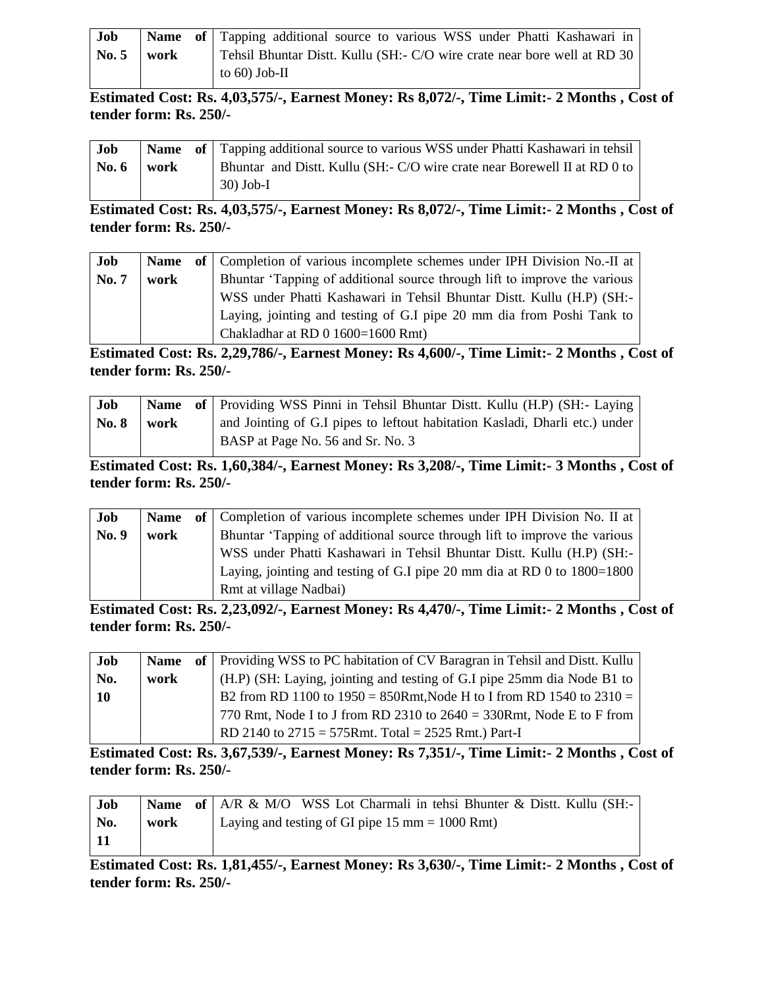| Job   |      | Name of Tapping additional source to various WSS under Phatti Kashawari in |
|-------|------|----------------------------------------------------------------------------|
| No. 5 | work | Tehsil Bhuntar Distt. Kullu (SH:- C/O wire crate near bore well at RD 30)  |
|       |      | to $60$ ) Job-II                                                           |

**Estimated Cost: Rs. 4,03,575/-, Earnest Money: Rs 8,072/-, Time Limit:- 2 Months , Cost of tender form: Rs. 250/-**

| Job                 |  | <b>Name</b> of Tapping additional source to various WSS under Phatti Kashawari in tehsil |
|---------------------|--|------------------------------------------------------------------------------------------|
| $\sqrt{N_0.6}$ work |  | Bhuntar and Distt. Kullu (SH:- C/O wire crate near Borewell II at RD 0 to                |
|                     |  | $30)$ Job-I                                                                              |

**Estimated Cost: Rs. 4,03,575/-, Earnest Money: Rs 8,072/-, Time Limit:- 2 Months , Cost of tender form: Rs. 250/-**

| Job          | <b>Name</b> | of   Completion of various incomplete schemes under IPH Division No.-II at |
|--------------|-------------|----------------------------------------------------------------------------|
| <b>No. 7</b> | work        | Bhuntar 'Tapping of additional source through lift to improve the various  |
|              |             | WSS under Phatti Kashawari in Tehsil Bhuntar Distt. Kullu (H.P) (SH:-      |
|              |             | Laying, jointing and testing of G.I pipe 20 mm dia from Poshi Tank to      |
|              |             | Chakladhar at RD 0 1600=1600 Rmt)                                          |

**Estimated Cost: Rs. 2,29,786/-, Earnest Money: Rs 4,600/-, Time Limit:- 2 Months , Cost of tender form: Rs. 250/-**

| Job          |      | <b>Name</b> of Providing WSS Pinni in Tehsil Bhuntar Distt. Kullu (H.P) (SH:- Laying |
|--------------|------|--------------------------------------------------------------------------------------|
| <b>No. 8</b> | work | and Jointing of G.I pipes to leftout habitation Kasladi, Dharli etc.) under          |
|              |      | BASP at Page No. 56 and Sr. No. 3                                                    |

**Estimated Cost: Rs. 1,60,384/-, Earnest Money: Rs 3,208/-, Time Limit:- 3 Months , Cost of tender form: Rs. 250/-**

| Job          |      | <b>Name</b> of Completion of various incomplete schemes under IPH Division No. II at |
|--------------|------|--------------------------------------------------------------------------------------|
| <b>No. 9</b> | work | Bhuntar 'Tapping of additional source through lift to improve the various            |
|              |      | WSS under Phatti Kashawari in Tehsil Bhuntar Distt. Kullu (H.P) (SH:-                |
|              |      | Laying, jointing and testing of G.I pipe 20 mm dia at RD 0 to $1800=1800$            |
|              |      | Rmt at village Nadbai)                                                               |

**Estimated Cost: Rs. 2,23,092/-, Earnest Money: Rs 4,470/-, Time Limit:- 2 Months , Cost of tender form: Rs. 250/-**

| Job       | <b>Name</b> | of   Providing WSS to PC habitation of CV Baragran in Tehsil and Distt. Kullu |
|-----------|-------------|-------------------------------------------------------------------------------|
| No.       | work        | (H.P) (SH: Laying, jointing and testing of G.I pipe 25mm dia Node B1 to       |
| <b>10</b> |             | B2 from RD 1100 to $1950 = 850$ Rmt, Node H to I from RD 1540 to $2310 =$     |
|           |             | 770 Rmt, Node I to J from RD 2310 to $2640 = 330$ Rmt, Node E to F from       |
|           |             | RD 2140 to $2715 = 575$ Rmt. Total = 2525 Rmt.) Part-I                        |

**Estimated Cost: Rs. 3,67,539/-, Earnest Money: Rs 7,351/-, Time Limit:- 2 Months , Cost of tender form: Rs. 250/-**

| Job |      | <b>Name</b> of   A/R & M/O WSS Lot Charmali in tehsi Bhunter & Dist. Kullu (SH:- |
|-----|------|----------------------------------------------------------------------------------|
| No. | work | Laying and testing of GI pipe 15 mm = $1000$ Rmt)                                |
|     |      |                                                                                  |

**Estimated Cost: Rs. 1,81,455/-, Earnest Money: Rs 3,630/-, Time Limit:- 2 Months , Cost of tender form: Rs. 250/-**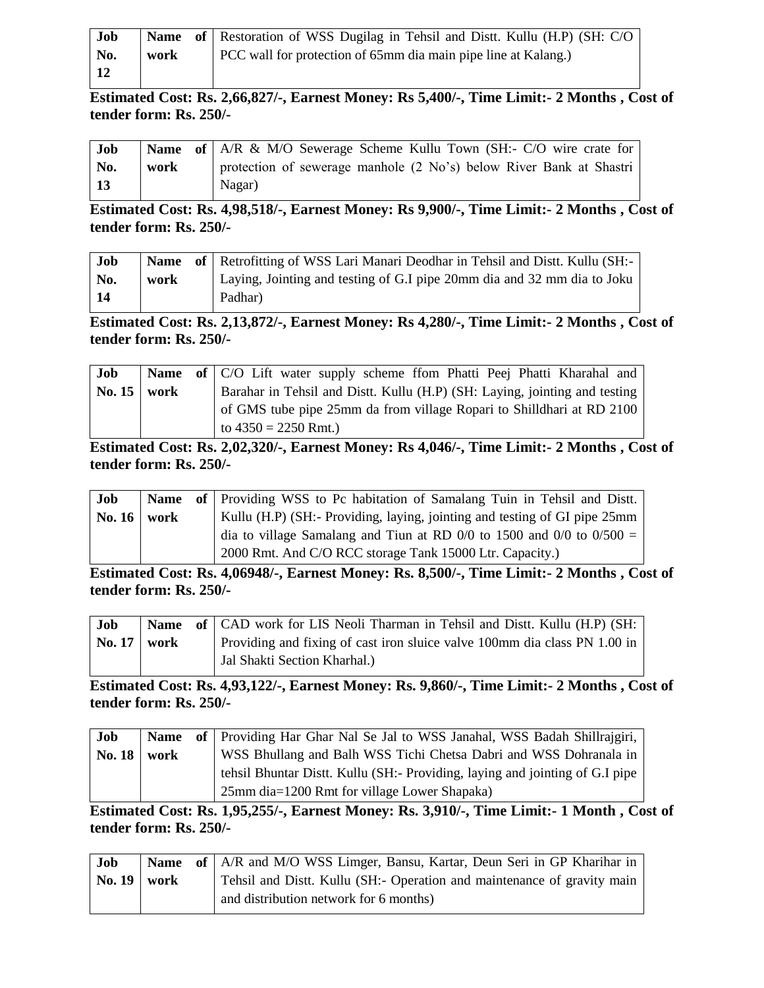| Job |      | <b>Name</b> of Restoration of WSS Dugilag in Tehsil and Distt. Kullu (H.P) (SH: C/O |
|-----|------|-------------------------------------------------------------------------------------|
| No. | work | PCC wall for protection of 65mm dia main pipe line at Kalang.)                      |
| 12  |      |                                                                                     |

**Estimated Cost: Rs. 2,66,827/-, Earnest Money: Rs 5,400/-, Time Limit:- 2 Months , Cost of tender form: Rs. 250/-**

| Job        |      | <b>Name of</b> $\vert$ A/R & M/O Sewerage Scheme Kullu Town (SH:- C/O wire crate for |
|------------|------|--------------------------------------------------------------------------------------|
| No.        | work | protection of sewerage manhole (2 No's) below River Bank at Shastri                  |
| $\vert$ 13 |      | Nagar)                                                                               |

**Estimated Cost: Rs. 4,98,518/-, Earnest Money: Rs 9,900/-, Time Limit:- 2 Months , Cost of tender form: Rs. 250/-**

| <b>Job</b> |      | Name of   Retrofitting of WSS Lari Manari Deodhar in Tehsil and Distt. Kullu (SH:- |
|------------|------|------------------------------------------------------------------------------------|
| No.        | work | Laying, Jointing and testing of G.I pipe 20mm dia and 32 mm dia to Joku            |
| 14         |      | Padhar)                                                                            |

**Estimated Cost: Rs. 2,13,872/-, Earnest Money: Rs 4,280/-, Time Limit:- 2 Months , Cost of tender form: Rs. 250/-**

| Job                |  | <b>Name</b> of C/O Lift water supply scheme from Phatti Peej Phatti Kharahal and |
|--------------------|--|----------------------------------------------------------------------------------|
| No. $15 \mid work$ |  | Barahar in Tehsil and Distt. Kullu (H.P) (SH: Laying, jointing and testing       |
|                    |  | of GMS tube pipe 25mm da from village Ropari to Shilldhari at RD 2100            |
|                    |  | to $4350 = 2250$ Rmt.)                                                           |

**Estimated Cost: Rs. 2,02,320/-, Earnest Money: Rs 4,046/-, Time Limit:- 2 Months , Cost of tender form: Rs. 250/-**

| Job                |  | Name of Providing WSS to Pc habitation of Samalang Tuin in Tehsil and Distt. |
|--------------------|--|------------------------------------------------------------------------------|
| No. $16 \mid work$ |  | Kullu (H.P) (SH:- Providing, laying, jointing and testing of GI pipe 25mm    |
|                    |  | dia to village Samalang and Tiun at RD 0/0 to 1500 and 0/0 to $0/500 =$      |
|                    |  | 2000 Rmt. And C/O RCC storage Tank 15000 Ltr. Capacity.)                     |

**Estimated Cost: Rs. 4,06948/-, Earnest Money: Rs. 8,500/-, Time Limit:- 2 Months , Cost of tender form: Rs. 250/-**

| Job                |  | <b>Name</b> of CAD work for LIS Neoli Tharman in Tehsil and Distt. Kullu (H.P) (SH: |
|--------------------|--|-------------------------------------------------------------------------------------|
| No. $17 \mid work$ |  | Providing and fixing of cast iron sluice valve 100mm dia class PN 1.00 in           |
|                    |  | Jal Shakti Section Kharhal.)                                                        |

**Estimated Cost: Rs. 4,93,122/-, Earnest Money: Rs. 9,860/-, Time Limit:- 2 Months , Cost of tender form: Rs. 250/-**

| Job           |  | Name of Providing Har Ghar Nal Se Jal to WSS Janahal, WSS Badah Shillrajgiri, |
|---------------|--|-------------------------------------------------------------------------------|
| No. $18$ work |  | WSS Bhullang and Balh WSS Tichi Chetsa Dabri and WSS Dohranala in             |
|               |  | tehsil Bhuntar Distt. Kullu (SH:- Providing, laying and jointing of G.I pipe  |
|               |  | 25mm dia=1200 Rmt for village Lower Shapaka)                                  |

**Estimated Cost: Rs. 1,95,255/-, Earnest Money: Rs. 3,910/-, Time Limit:- 1 Month , Cost of tender form: Rs. 250/-**

| Job                |  | Name of   A/R and M/O WSS Limger, Bansu, Kartar, Deun Seri in GP Kharihar in |
|--------------------|--|------------------------------------------------------------------------------|
| No. $19 \mid work$ |  | Tehsil and Distt. Kullu (SH:- Operation and maintenance of gravity main      |
|                    |  | and distribution network for 6 months)                                       |